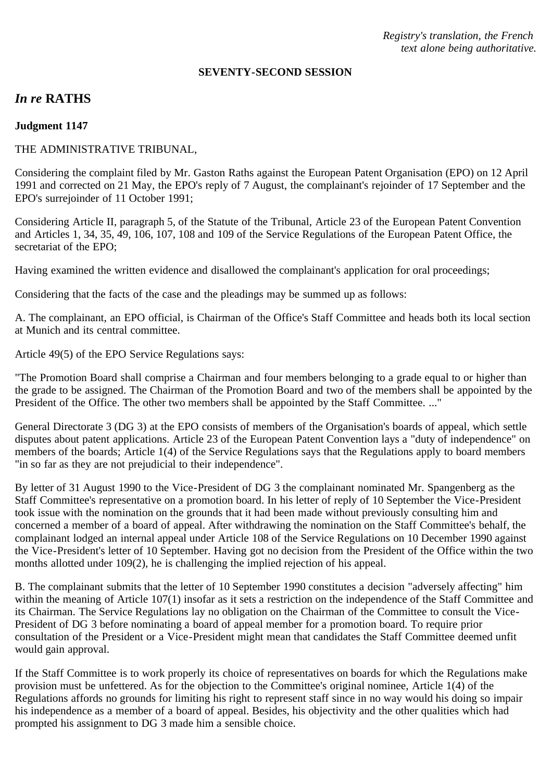*Registry's translation, the French text alone being authoritative.*

#### **SEVENTY-SECOND SESSION**

# *In re* **RATHS**

#### **Judgment 1147**

### THE ADMINISTRATIVE TRIBUNAL,

Considering the complaint filed by Mr. Gaston Raths against the European Patent Organisation (EPO) on 12 April 1991 and corrected on 21 May, the EPO's reply of 7 August, the complainant's rejoinder of 17 September and the EPO's surrejoinder of 11 October 1991;

Considering Article II, paragraph 5, of the Statute of the Tribunal, Article 23 of the European Patent Convention and Articles 1, 34, 35, 49, 106, 107, 108 and 109 of the Service Regulations of the European Patent Office, the secretariat of the EPO;

Having examined the written evidence and disallowed the complainant's application for oral proceedings;

Considering that the facts of the case and the pleadings may be summed up as follows:

A. The complainant, an EPO official, is Chairman of the Office's Staff Committee and heads both its local section at Munich and its central committee.

Article 49(5) of the EPO Service Regulations says:

"The Promotion Board shall comprise a Chairman and four members belonging to a grade equal to or higher than the grade to be assigned. The Chairman of the Promotion Board and two of the members shall be appointed by the President of the Office. The other two members shall be appointed by the Staff Committee. ..."

General Directorate 3 (DG 3) at the EPO consists of members of the Organisation's boards of appeal, which settle disputes about patent applications. Article 23 of the European Patent Convention lays a "duty of independence" on members of the boards; Article 1(4) of the Service Regulations says that the Regulations apply to board members "in so far as they are not prejudicial to their independence".

By letter of 31 August 1990 to the Vice-President of DG 3 the complainant nominated Mr. Spangenberg as the Staff Committee's representative on a promotion board. In his letter of reply of 10 September the Vice-President took issue with the nomination on the grounds that it had been made without previously consulting him and concerned a member of a board of appeal. After withdrawing the nomination on the Staff Committee's behalf, the complainant lodged an internal appeal under Article 108 of the Service Regulations on 10 December 1990 against the Vice-President's letter of 10 September. Having got no decision from the President of the Office within the two months allotted under 109(2), he is challenging the implied rejection of his appeal.

B. The complainant submits that the letter of 10 September 1990 constitutes a decision "adversely affecting" him within the meaning of Article 107(1) insofar as it sets a restriction on the independence of the Staff Committee and its Chairman. The Service Regulations lay no obligation on the Chairman of the Committee to consult the Vice-President of DG 3 before nominating a board of appeal member for a promotion board. To require prior consultation of the President or a Vice-President might mean that candidates the Staff Committee deemed unfit would gain approval.

If the Staff Committee is to work properly its choice of representatives on boards for which the Regulations make provision must be unfettered. As for the objection to the Committee's original nominee, Article 1(4) of the Regulations affords no grounds for limiting his right to represent staff since in no way would his doing so impair his independence as a member of a board of appeal. Besides, his objectivity and the other qualities which had prompted his assignment to DG 3 made him a sensible choice.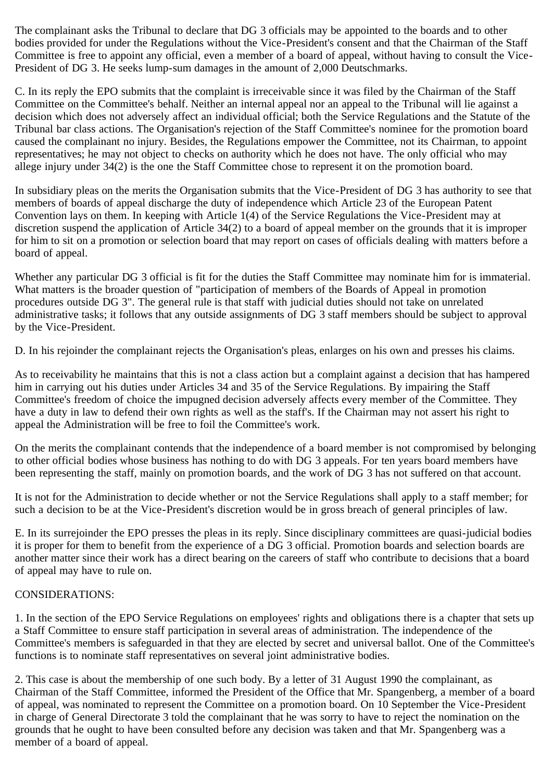The complainant asks the Tribunal to declare that DG 3 officials may be appointed to the boards and to other bodies provided for under the Regulations without the Vice-President's consent and that the Chairman of the Staff Committee is free to appoint any official, even a member of a board of appeal, without having to consult the Vice-President of DG 3. He seeks lump-sum damages in the amount of 2,000 Deutschmarks.

C. In its reply the EPO submits that the complaint is irreceivable since it was filed by the Chairman of the Staff Committee on the Committee's behalf. Neither an internal appeal nor an appeal to the Tribunal will lie against a decision which does not adversely affect an individual official; both the Service Regulations and the Statute of the Tribunal bar class actions. The Organisation's rejection of the Staff Committee's nominee for the promotion board caused the complainant no injury. Besides, the Regulations empower the Committee, not its Chairman, to appoint representatives; he may not object to checks on authority which he does not have. The only official who may allege injury under 34(2) is the one the Staff Committee chose to represent it on the promotion board.

In subsidiary pleas on the merits the Organisation submits that the Vice-President of DG 3 has authority to see that members of boards of appeal discharge the duty of independence which Article 23 of the European Patent Convention lays on them. In keeping with Article 1(4) of the Service Regulations the Vice-President may at discretion suspend the application of Article 34(2) to a board of appeal member on the grounds that it is improper for him to sit on a promotion or selection board that may report on cases of officials dealing with matters before a board of appeal.

Whether any particular DG 3 official is fit for the duties the Staff Committee may nominate him for is immaterial. What matters is the broader question of "participation of members of the Boards of Appeal in promotion procedures outside DG 3". The general rule is that staff with judicial duties should not take on unrelated administrative tasks; it follows that any outside assignments of DG 3 staff members should be subject to approval by the Vice-President.

D. In his rejoinder the complainant rejects the Organisation's pleas, enlarges on his own and presses his claims.

As to receivability he maintains that this is not a class action but a complaint against a decision that has hampered him in carrying out his duties under Articles 34 and 35 of the Service Regulations. By impairing the Staff Committee's freedom of choice the impugned decision adversely affects every member of the Committee. They have a duty in law to defend their own rights as well as the staff's. If the Chairman may not assert his right to appeal the Administration will be free to foil the Committee's work.

On the merits the complainant contends that the independence of a board member is not compromised by belonging to other official bodies whose business has nothing to do with DG 3 appeals. For ten years board members have been representing the staff, mainly on promotion boards, and the work of DG 3 has not suffered on that account.

It is not for the Administration to decide whether or not the Service Regulations shall apply to a staff member; for such a decision to be at the Vice-President's discretion would be in gross breach of general principles of law.

E. In its surrejoinder the EPO presses the pleas in its reply. Since disciplinary committees are quasi-judicial bodies it is proper for them to benefit from the experience of a DG 3 official. Promotion boards and selection boards are another matter since their work has a direct bearing on the careers of staff who contribute to decisions that a board of appeal may have to rule on.

# CONSIDERATIONS:

1. In the section of the EPO Service Regulations on employees' rights and obligations there is a chapter that sets up a Staff Committee to ensure staff participation in several areas of administration. The independence of the Committee's members is safeguarded in that they are elected by secret and universal ballot. One of the Committee's functions is to nominate staff representatives on several joint administrative bodies.

2. This case is about the membership of one such body. By a letter of 31 August 1990 the complainant, as Chairman of the Staff Committee, informed the President of the Office that Mr. Spangenberg, a member of a board of appeal, was nominated to represent the Committee on a promotion board. On 10 September the Vice-President in charge of General Directorate 3 told the complainant that he was sorry to have to reject the nomination on the grounds that he ought to have been consulted before any decision was taken and that Mr. Spangenberg was a member of a board of appeal.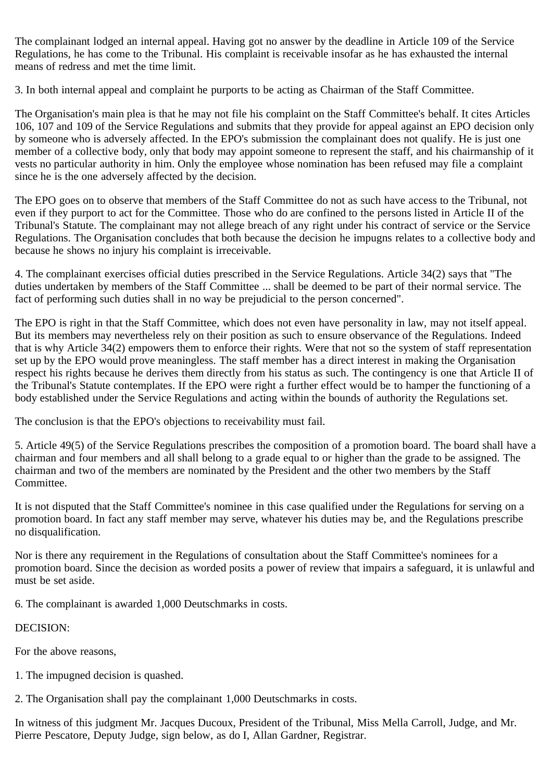The complainant lodged an internal appeal. Having got no answer by the deadline in Article 109 of the Service Regulations, he has come to the Tribunal. His complaint is receivable insofar as he has exhausted the internal means of redress and met the time limit.

3. In both internal appeal and complaint he purports to be acting as Chairman of the Staff Committee.

The Organisation's main plea is that he may not file his complaint on the Staff Committee's behalf. It cites Articles 106, 107 and 109 of the Service Regulations and submits that they provide for appeal against an EPO decision only by someone who is adversely affected. In the EPO's submission the complainant does not qualify. He is just one member of a collective body, only that body may appoint someone to represent the staff, and his chairmanship of it vests no particular authority in him. Only the employee whose nomination has been refused may file a complaint since he is the one adversely affected by the decision.

The EPO goes on to observe that members of the Staff Committee do not as such have access to the Tribunal, not even if they purport to act for the Committee. Those who do are confined to the persons listed in Article II of the Tribunal's Statute. The complainant may not allege breach of any right under his contract of service or the Service Regulations. The Organisation concludes that both because the decision he impugns relates to a collective body and because he shows no injury his complaint is irreceivable.

4. The complainant exercises official duties prescribed in the Service Regulations. Article 34(2) says that "The duties undertaken by members of the Staff Committee ... shall be deemed to be part of their normal service. The fact of performing such duties shall in no way be prejudicial to the person concerned".

The EPO is right in that the Staff Committee, which does not even have personality in law, may not itself appeal. But its members may nevertheless rely on their position as such to ensure observance of the Regulations. Indeed that is why Article 34(2) empowers them to enforce their rights. Were that not so the system of staff representation set up by the EPO would prove meaningless. The staff member has a direct interest in making the Organisation respect his rights because he derives them directly from his status as such. The contingency is one that Article II of the Tribunal's Statute contemplates. If the EPO were right a further effect would be to hamper the functioning of a body established under the Service Regulations and acting within the bounds of authority the Regulations set.

The conclusion is that the EPO's objections to receivability must fail.

5. Article 49(5) of the Service Regulations prescribes the composition of a promotion board. The board shall have a chairman and four members and all shall belong to a grade equal to or higher than the grade to be assigned. The chairman and two of the members are nominated by the President and the other two members by the Staff Committee.

It is not disputed that the Staff Committee's nominee in this case qualified under the Regulations for serving on a promotion board. In fact any staff member may serve, whatever his duties may be, and the Regulations prescribe no disqualification.

Nor is there any requirement in the Regulations of consultation about the Staff Committee's nominees for a promotion board. Since the decision as worded posits a power of review that impairs a safeguard, it is unlawful and must be set aside.

6. The complainant is awarded 1,000 Deutschmarks in costs.

# DECISION:

For the above reasons,

1. The impugned decision is quashed.

2. The Organisation shall pay the complainant 1,000 Deutschmarks in costs.

In witness of this judgment Mr. Jacques Ducoux, President of the Tribunal, Miss Mella Carroll, Judge, and Mr. Pierre Pescatore, Deputy Judge, sign below, as do I, Allan Gardner, Registrar.